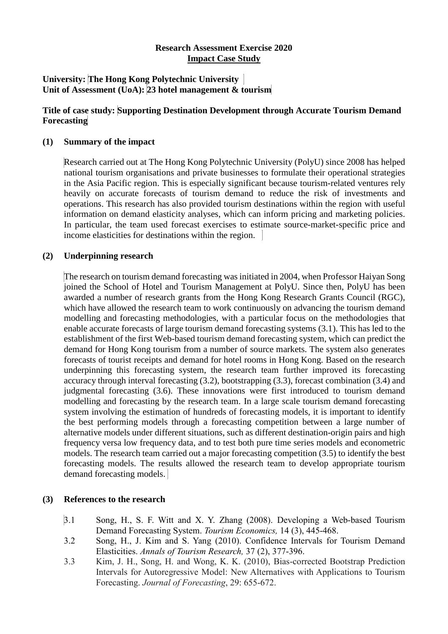# **Research Assessment Exercise 2020 Impact Case Study**

#### **University: The Hong Kong Polytechnic University Unit of Assessment (UoA): 23 hotel management & tourism**

# **Title of case study: Supporting Destination Development through Accurate Tourism Demand Forecasting**

#### **(1) Summary of the impact**

Research carried out at The Hong Kong Polytechnic University (PolyU) since 2008 has helped national tourism organisations and private businesses to formulate their operational strategies in the Asia Pacific region. This is especially significant because tourism-related ventures rely heavily on accurate forecasts of tourism demand to reduce the risk of investments and operations. This research has also provided tourism destinations within the region with useful information on demand elasticity analyses, which can inform pricing and marketing policies. In particular, the team used forecast exercises to estimate source-market-specific price and income elasticities for destinations within the region.

# **(2) Underpinning research**

The research on tourism demand forecasting was initiated in 2004, when Professor Haiyan Song joined the School of Hotel and Tourism Management at PolyU. Since then, PolyU has been awarded a number of research grants from the Hong Kong Research Grants Council (RGC), which have allowed the research team to work continuously on advancing the tourism demand modelling and forecasting methodologies, with a particular focus on the methodologies that enable accurate forecasts of large tourism demand forecasting systems (3.1). This has led to the establishment of the first Web-based tourism demand forecasting system, which can predict the demand for Hong Kong tourism from a number of source markets. The system also generates forecasts of tourist receipts and demand for hotel rooms in Hong Kong. Based on the research underpinning this forecasting system, the research team further improved its forecasting accuracy through interval forecasting (3.2), bootstrapping (3.3), forecast combination (3.4) and judgmental forecasting (3.6). These innovations were first introduced to tourism demand modelling and forecasting by the research team. In a large scale tourism demand forecasting system involving the estimation of hundreds of forecasting models, it is important to identify the best performing models through a forecasting competition between a large number of alternative models under different situations, such as different destination-origin pairs and high frequency versa low frequency data, and to test both pure time series models and econometric models. The research team carried out a major forecasting competition (3.5) to identify the best forecasting models. The results allowed the research team to develop appropriate tourism demand forecasting models.

#### **(3) References to the research**

- 3.1 Song, H., S. F. Witt and X. Y. Zhang (2008). Developing a Web-based Tourism Demand Forecasting System. *Tourism Economics,* 14 (3), 445-468.
- 3.2 Song, H., J. Kim and S. Yang (2010). Confidence Intervals for Tourism Demand Elasticities. *Annals of Tourism Research,* 37 (2), 377-396.
- 3.3 Kim, J. H., Song, H. and Wong, K. K. (2010), Bias‐corrected Bootstrap Prediction Intervals for Autoregressive Model: New Alternatives with Applications to Tourism Forecasting. *Journal of Forecasting*, 29: 655-672.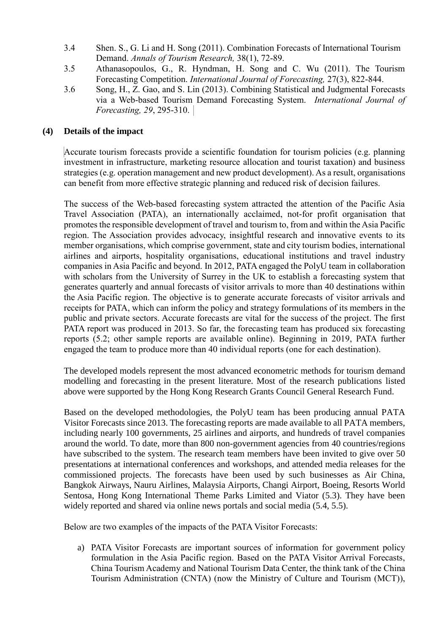- 3.4 Shen. S., G. Li and H. Song (2011). Combination Forecasts of International Tourism Demand. *Annals of Tourism Research,* 38(1), 72-89.
- 3.5 Athanasopoulos, G., R. Hyndman, H. Song and C. Wu (2011). The Tourism Forecasting Competition. *International Journal of Forecasting,* 27(3), 822-844.
- 3.6 Song, H., Z. Gao, and S. Lin (2013). Combining Statistical and Judgmental Forecasts via a Web-based Tourism Demand Forecasting System. *International Journal of Forecasting, 29*, 295-310.

# **(4) Details of the impact**

Accurate tourism forecasts provide a scientific foundation for tourism policies (e.g. planning investment in infrastructure, marketing resource allocation and tourist taxation) and business strategies (e.g. operation management and new product development). As a result, organisations can benefit from more effective strategic planning and reduced risk of decision failures.

The success of the Web-based forecasting system attracted the attention of the Pacific Asia Travel Association (PATA), an internationally acclaimed, not-for profit organisation that promotes the responsible development of travel and tourism to, from and within the Asia Pacific region. The Association provides advocacy, insightful research and innovative events to its member organisations, which comprise government, state and city tourism bodies, international airlines and airports, hospitality organisations, educational institutions and travel industry companies in Asia Pacific and beyond. In 2012, PATA engaged the PolyU team in collaboration with scholars from the University of Surrey in the UK to establish a forecasting system that generates quarterly and annual forecasts of visitor arrivals to more than 40 destinations within the Asia Pacific region. The objective is to generate accurate forecasts of visitor arrivals and receipts for PATA, which can inform the policy and strategy formulations of its members in the public and private sectors. Accurate forecasts are vital for the success of the project. The first PATA report was produced in 2013. So far, the forecasting team has produced six forecasting reports (5.2; other sample reports are available online). Beginning in 2019, PATA further engaged the team to produce more than 40 individual reports (one for each destination).

The developed models represent the most advanced econometric methods for tourism demand modelling and forecasting in the present literature. Most of the research publications listed above were supported by the Hong Kong Research Grants Council General Research Fund.

Based on the developed methodologies, the PolyU team has been producing annual PATA Visitor Forecasts since 2013. The forecasting reports are made available to all PATA members, including nearly 100 governments, 25 airlines and airports, and hundreds of travel companies around the world. To date, more than 800 non-government agencies from 40 countries/regions have subscribed to the system. The research team members have been invited to give over 50 presentations at international conferences and workshops, and attended media releases for the commissioned projects. The forecasts have been used by such businesses as Air China, Bangkok Airways, Nauru Airlines, Malaysia Airports, Changi Airport, Boeing, Resorts World Sentosa, Hong Kong International Theme Parks Limited and Viator (5.3). They have been widely reported and shared via online news portals and social media (5.4, 5.5).

Below are two examples of the impacts of the PATA Visitor Forecasts:

a) PATA Visitor Forecasts are important sources of information for government policy formulation in the Asia Pacific region. Based on the PATA Visitor Arrival Forecasts, China Tourism Academy and National Tourism Data Center, the think tank of the China Tourism Administration (CNTA) (now the Ministry of Culture and Tourism (MCT)),